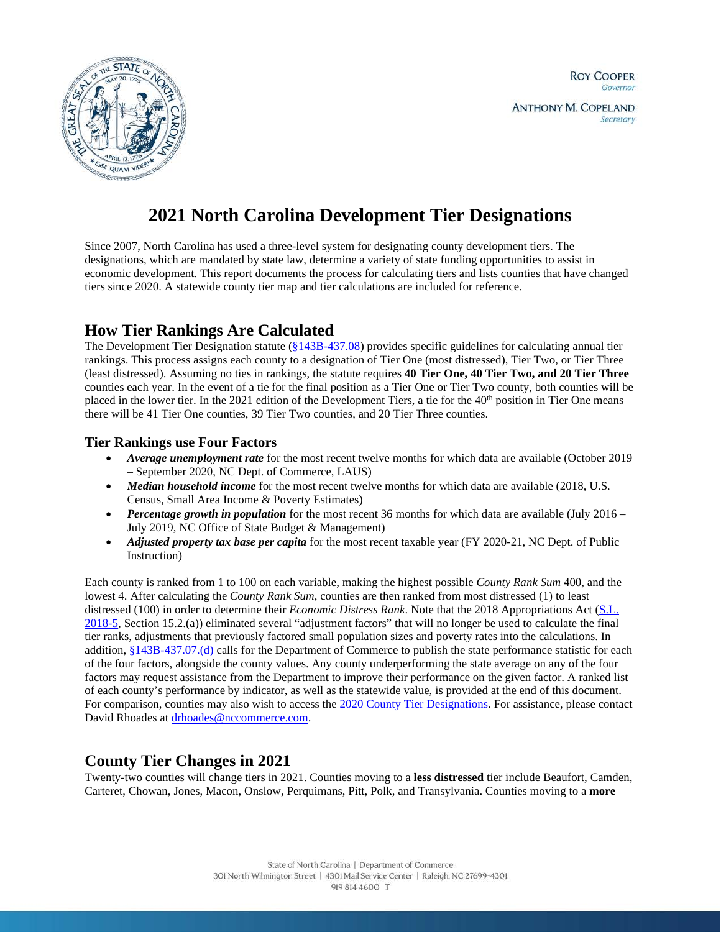

# **2021 North Carolina Development Tier Designations**

Since 2007, North Carolina has used a three-level system for designating county development tiers. The designations, which are mandated by state law, determine a variety of state funding opportunities to assist in economic development. This report documents the process for calculating tiers and lists counties that have changed tiers since 2020. A statewide county tier map and tier calculations are included for reference.

# **How Tier Rankings Are Calculated**

The Development Tier Designation statute  $(\frac{§143B-437.08}{\$143B-437.08})$  provides specific guidelines for calculating annual tier rankings. This process assigns each county to a designation of Tier One (most distressed), Tier Two, or Tier Three (least distressed). Assuming no ties in rankings, the statute requires **40 Tier One, 40 Tier Two, and 20 Tier Three** counties each year. In the event of a tie for the final position as a Tier One or Tier Two county, both counties will be placed in the lower tier. In the 2021 edition of the Development Tiers, a tie for the  $40<sup>th</sup>$  position in Tier One means there will be 41 Tier One counties, 39 Tier Two counties, and 20 Tier Three counties.

# **Tier Rankings use Four Factors**

- *Average unemployment rate* for the most recent twelve months for which data are available (October 2019 – September 2020, NC Dept. of Commerce, LAUS)
- *Median household income* for the most recent twelve months for which data are available (2018, U.S. Census, Small Area Income & Poverty Estimates)
- *Percentage growth in population* for the most recent 36 months for which data are available (July 2016 July 2019, NC Office of State Budget & Management)
- *Adjusted property tax base per capita* for the most recent taxable year (FY 2020-21, NC Dept. of Public Instruction)

Each county is ranked from 1 to 100 on each variable, making the highest possible *County Rank Sum* 400, and the lowest 4. After calculating the *County Rank Sum*, counties are then ranked from most distressed (1) to least distressed (100) in order to determine their *Economic Distress Rank*. Note that the 2018 Appropriations Act [\(S.L.](https://www.ncleg.net/EnactedLegislation/SessionLaws/PDF/2017-2018/SL2018-5.pdf)  [2018-5,](https://www.ncleg.net/EnactedLegislation/SessionLaws/PDF/2017-2018/SL2018-5.pdf) Section 15.2.(a)) eliminated several "adjustment factors" that will no longer be used to calculate the final tier ranks, adjustments that previously factored small population sizes and poverty rates into the calculations. In addition, [§143B-437.07.\(d\)](https://www.ncleg.gov/EnactedLegislation/Statutes/PDF/BySection/Chapter_143B/GS_143B-437.07.pdf#page=2) calls for the Department of Commerce to publish the state performance statistic for each of the four factors, alongside the county values. Any county underperforming the state average on any of the four factors may request assistance from the Department to improve their performance on the given factor. A ranked list of each county's performance by indicator, as well as the statewide value, is provided at the end of this document. For comparison, counties may also wish to access th[e 2020 County Tier Designations.](https://files.nc.gov/nccommerce/documents/files/2020-Tiers-memo_asPublished_120219.pdf) For assistance, please contact David Rhoades a[t drhoades@nccommerce.com.](mailto:drhoades@nccommerce.com)

# **County Tier Changes in 2021**

Twenty-two counties will change tiers in 2021. Counties moving to a **less distressed** tier include Beaufort, Camden, Carteret, Chowan, Jones, Macon, Onslow, Perquimans, Pitt, Polk, and Transylvania. Counties moving to a **more**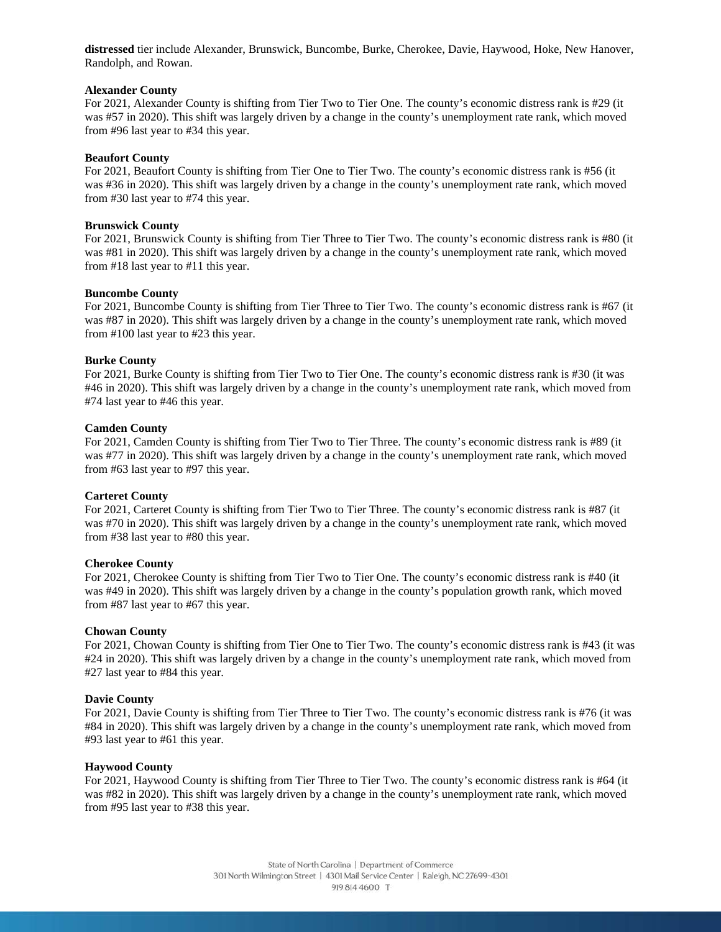**distressed** tier include Alexander, Brunswick, Buncombe, Burke, Cherokee, Davie, Haywood, Hoke, New Hanover, Randolph, and Rowan.

## **Alexander County**

For 2021, Alexander County is shifting from Tier Two to Tier One. The county's economic distress rank is #29 (it was #57 in 2020). This shift was largely driven by a change in the county's unemployment rate rank, which moved from #96 last year to #34 this year.

#### **Beaufort County**

For 2021, Beaufort County is shifting from Tier One to Tier Two. The county's economic distress rank is #56 (it was #36 in 2020). This shift was largely driven by a change in the county's unemployment rate rank, which moved from #30 last year to #74 this year.

# **Brunswick County**

For 2021, Brunswick County is shifting from Tier Three to Tier Two. The county's economic distress rank is #80 (it was #81 in 2020). This shift was largely driven by a change in the county's unemployment rate rank, which moved from #18 last year to #11 this year.

# **Buncombe County**

For 2021, Buncombe County is shifting from Tier Three to Tier Two. The county's economic distress rank is #67 (it was #87 in 2020). This shift was largely driven by a change in the county's unemployment rate rank, which moved from #100 last year to #23 this year.

# **Burke County**

For 2021, Burke County is shifting from Tier Two to Tier One. The county's economic distress rank is #30 (it was #46 in 2020). This shift was largely driven by a change in the county's unemployment rate rank, which moved from #74 last year to #46 this year.

#### **Camden County**

For 2021, Camden County is shifting from Tier Two to Tier Three. The county's economic distress rank is #89 (it was #77 in 2020). This shift was largely driven by a change in the county's unemployment rate rank, which moved from #63 last year to #97 this year.

# **Carteret County**

For 2021, Carteret County is shifting from Tier Two to Tier Three. The county's economic distress rank is #87 (it was #70 in 2020). This shift was largely driven by a change in the county's unemployment rate rank, which moved from #38 last year to #80 this year.

# **Cherokee County**

For 2021, Cherokee County is shifting from Tier Two to Tier One. The county's economic distress rank is #40 (it was #49 in 2020). This shift was largely driven by a change in the county's population growth rank, which moved from #87 last year to #67 this year.

# **Chowan County**

For 2021, Chowan County is shifting from Tier One to Tier Two. The county's economic distress rank is #43 (it was #24 in 2020). This shift was largely driven by a change in the county's unemployment rate rank, which moved from #27 last year to #84 this year.

# **Davie County**

For 2021, Davie County is shifting from Tier Three to Tier Two. The county's economic distress rank is #76 (it was #84 in 2020). This shift was largely driven by a change in the county's unemployment rate rank, which moved from #93 last year to #61 this year.

#### **Haywood County**

For 2021, Haywood County is shifting from Tier Three to Tier Two. The county's economic distress rank is #64 (it was #82 in 2020). This shift was largely driven by a change in the county's unemployment rate rank, which moved from #95 last year to #38 this year.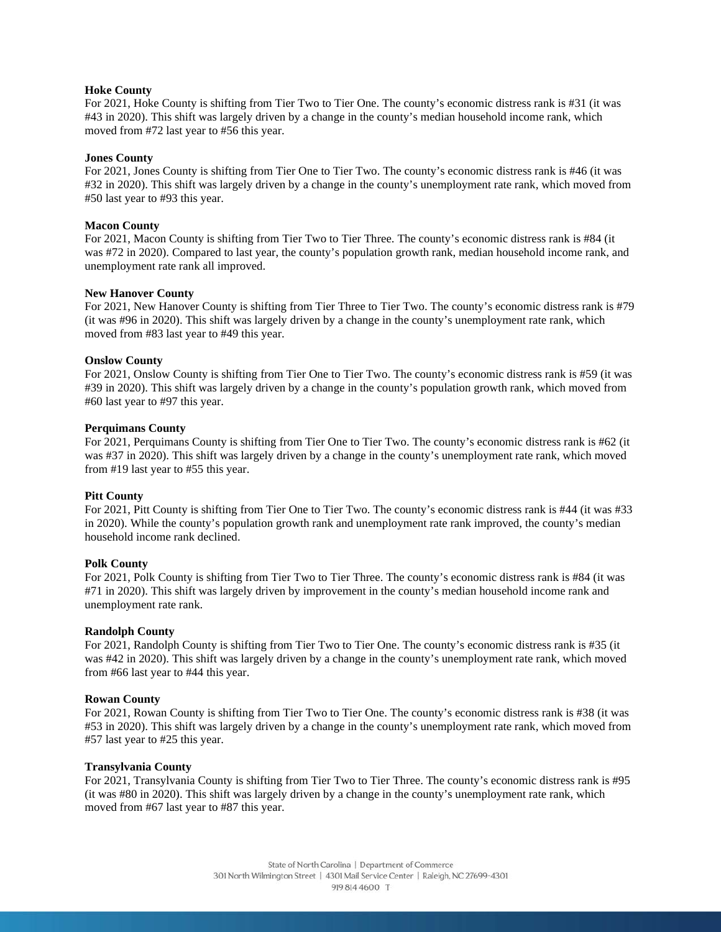# **Hoke County**

For 2021, Hoke County is shifting from Tier Two to Tier One. The county's economic distress rank is #31 (it was #43 in 2020). This shift was largely driven by a change in the county's median household income rank, which moved from #72 last year to #56 this year.

#### **Jones County**

For 2021, Jones County is shifting from Tier One to Tier Two. The county's economic distress rank is #46 (it was #32 in 2020). This shift was largely driven by a change in the county's unemployment rate rank, which moved from #50 last year to #93 this year.

#### **Macon County**

For 2021, Macon County is shifting from Tier Two to Tier Three. The county's economic distress rank is #84 (it was #72 in 2020). Compared to last year, the county's population growth rank, median household income rank, and unemployment rate rank all improved.

#### **New Hanover County**

For 2021, New Hanover County is shifting from Tier Three to Tier Two. The county's economic distress rank is #79 (it was #96 in 2020). This shift was largely driven by a change in the county's unemployment rate rank, which moved from #83 last year to #49 this year.

#### **Onslow County**

For 2021, Onslow County is shifting from Tier One to Tier Two. The county's economic distress rank is #59 (it was #39 in 2020). This shift was largely driven by a change in the county's population growth rank, which moved from #60 last year to #97 this year.

#### **Perquimans County**

For 2021, Perquimans County is shifting from Tier One to Tier Two. The county's economic distress rank is #62 (it was #37 in 2020). This shift was largely driven by a change in the county's unemployment rate rank, which moved from #19 last year to #55 this year.

# **Pitt County**

For 2021, Pitt County is shifting from Tier One to Tier Two. The county's economic distress rank is #44 (it was #33 in 2020). While the county's population growth rank and unemployment rate rank improved, the county's median household income rank declined.

#### **Polk County**

For 2021, Polk County is shifting from Tier Two to Tier Three. The county's economic distress rank is #84 (it was #71 in 2020). This shift was largely driven by improvement in the county's median household income rank and unemployment rate rank.

#### **Randolph County**

For 2021, Randolph County is shifting from Tier Two to Tier One. The county's economic distress rank is #35 (it was #42 in 2020). This shift was largely driven by a change in the county's unemployment rate rank, which moved from #66 last year to #44 this year.

#### **Rowan County**

For 2021, Rowan County is shifting from Tier Two to Tier One. The county's economic distress rank is #38 (it was #53 in 2020). This shift was largely driven by a change in the county's unemployment rate rank, which moved from #57 last year to #25 this year.

#### **Transylvania County**

For 2021, Transylvania County is shifting from Tier Two to Tier Three. The county's economic distress rank is #95 (it was #80 in 2020). This shift was largely driven by a change in the county's unemployment rate rank, which moved from #67 last year to #87 this year.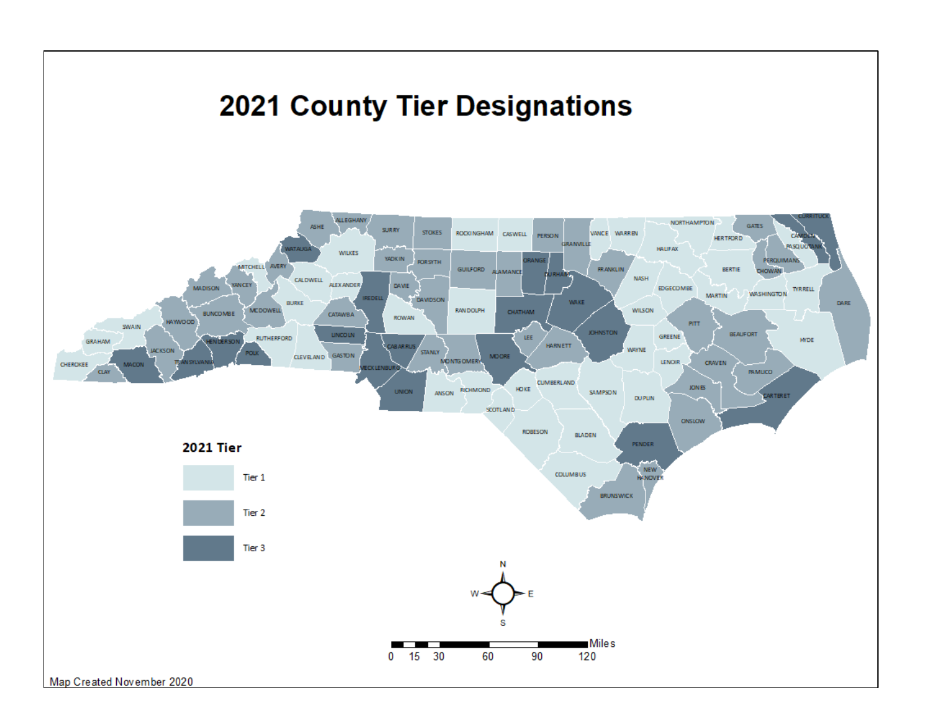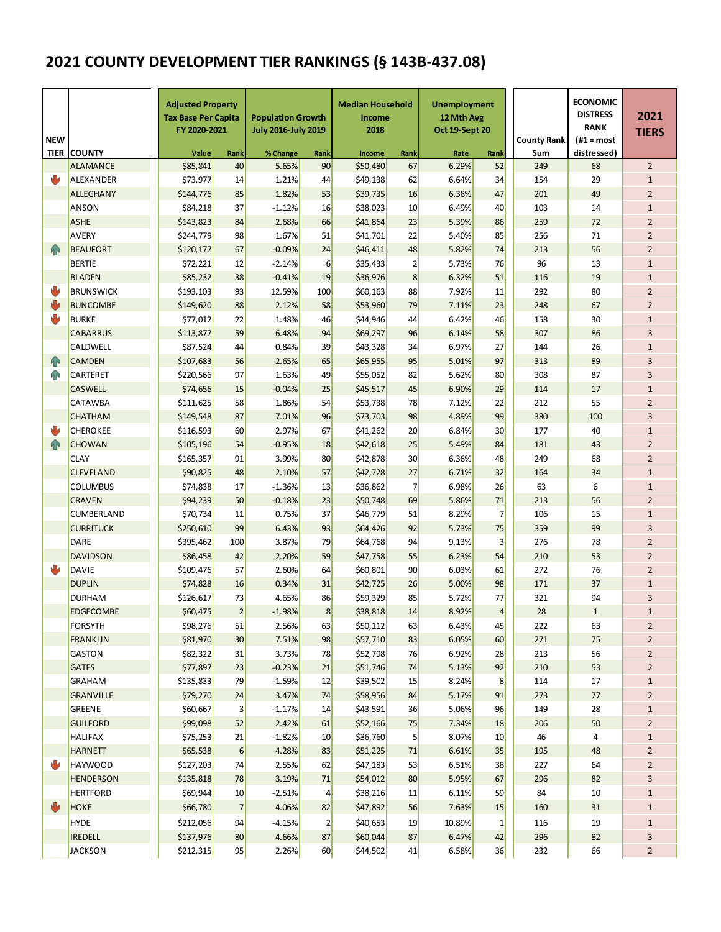# **2021 COUNTY DEVELOPMENT TIER RANKINGS (§ 143B-437.08)**

| <b>NEW</b><br><b>TIER</b> | <b>COUNTY</b>    | <b>Adjusted Property</b><br><b>Tax Base Per Capita</b><br>FY 2020-2021<br>Value | Rank             | <b>Population Growth</b><br><b>July 2016-July 2019</b><br>% Change | Rank            | <b>Median Household</b><br>Income<br>2018<br>Income | Rank           | <b>Unemployment</b><br>12 Mth Avg<br>Oct 19-Sept 20<br>Rate | Rank           | <b>County Rank</b><br>Sum | <b>ECONOMIC</b><br><b>DISTRESS</b><br><b>RANK</b><br>$#1 = most$<br>distressed) | 2021<br><b>TIERS</b> |
|---------------------------|------------------|---------------------------------------------------------------------------------|------------------|--------------------------------------------------------------------|-----------------|-----------------------------------------------------|----------------|-------------------------------------------------------------|----------------|---------------------------|---------------------------------------------------------------------------------|----------------------|
|                           | <b>ALAMANCE</b>  | \$85,841                                                                        | 40               | 5.65%                                                              | 90              | \$50,480                                            | 67             | 6.29%                                                       | 52             | 249                       | 68                                                                              | $\overline{2}$       |
| U                         | ALEXANDER        | \$73,977                                                                        | 14               | 1.21%                                                              | 44              | \$49,138                                            | 62             | 6.64%                                                       | 34             | 154                       | 29                                                                              | $\mathbf{1}$         |
|                           | <b>ALLEGHANY</b> | \$144,776                                                                       | 85               | 1.82%                                                              | 53              | \$39,735                                            | 16             | 6.38%                                                       | 47             | 201                       | 49                                                                              | $\overline{2}$       |
|                           | ANSON            | \$84,218                                                                        | 37               | $-1.12%$                                                           | 16              | \$38,023                                            | 10             | 6.49%                                                       | 40             | 103                       | 14                                                                              | $\mathbf 1$          |
|                           | <b>ASHE</b>      | \$143,823                                                                       | 84               | 2.68%                                                              | 66              | \$41,864                                            | 23             | 5.39%                                                       | 86             | 259                       | 72                                                                              | $\overline{2}$       |
|                           | <b>AVERY</b>     | \$244,779                                                                       | 98               | 1.67%                                                              | 51              | \$41,701                                            | 22             | 5.40%                                                       | 85             | 256                       | 71                                                                              | $\overline{2}$       |
| 4 <sub>R</sub>            | <b>BEAUFORT</b>  | \$120,177                                                                       | 67               | $-0.09%$                                                           | 24              | \$46,411                                            | 48             | 5.82%                                                       | 74             | 213                       | 56                                                                              | $\overline{2}$       |
|                           | <b>BERTIE</b>    | \$72,221                                                                        | 12               | $-2.14%$                                                           | $6 \overline{}$ | \$35,433                                            | $\mathbf{2}$   | 5.73%                                                       | 76             | 96                        | 13                                                                              | $\mathbf{1}$         |
|                           | <b>BLADEN</b>    | \$85,232                                                                        | 38               | $-0.41%$                                                           | 19              | \$36,976                                            | 8              | 6.32%                                                       | 51             | 116                       | 19                                                                              | $\mathbf 1$          |
| ⋓                         | <b>BRUNSWICK</b> | \$193,103                                                                       | 93               | 12.59%                                                             | 100             | \$60,163                                            | 88             | 7.92%                                                       | 11             | 292                       | 80                                                                              | $\overline{2}$       |
| ₩                         | <b>BUNCOMBE</b>  | \$149,620                                                                       | 88               | 2.12%                                                              | 58              | \$53,960                                            | 79             | 7.11%                                                       | 23             | 248                       | 67                                                                              | $\overline{2}$       |
| U                         | <b>BURKE</b>     | \$77,012                                                                        | 22               | 1.48%                                                              | 46              | \$44,946                                            | 44             | 6.42%                                                       | 46             | 158                       | 30                                                                              | $\mathbf{1}$         |
|                           | <b>CABARRUS</b>  | \$113,877                                                                       | 59               | 6.48%                                                              | 94              | \$69,297                                            | 96             | 6.14%                                                       | 58             | 307                       | 86                                                                              | 3                    |
|                           | CALDWELL         | \$87,524                                                                        | 44               | 0.84%                                                              | 39              | \$43,328                                            | 34             | 6.97%                                                       | 27             | 144                       | 26                                                                              | $\mathbf{1}$         |
| 4 <sub>R</sub>            | <b>CAMDEN</b>    | \$107,683                                                                       | 56               | 2.65%                                                              | 65              | \$65,955                                            | 95             | 5.01%                                                       | 97             | 313                       | 89                                                                              | 3                    |
| <b>AN</b>                 | CARTERET         | \$220,566                                                                       | 97               | 1.63%                                                              | 49              | \$55,052                                            | 82             | 5.62%                                                       | 80             | 308                       | 87                                                                              | 3                    |
|                           | <b>CASWELL</b>   | \$74,656                                                                        | 15               | $-0.04%$                                                           | 25              | \$45,517                                            | 45             | 6.90%                                                       | 29             | 114                       | 17                                                                              | $\mathbf 1$          |
|                           | CATAWBA          | \$111,625                                                                       | 58               | 1.86%                                                              | 54              | \$53,738                                            | 78             | 7.12%                                                       | 22             | 212                       | 55                                                                              | $\overline{2}$       |
|                           | <b>CHATHAM</b>   | \$149,548                                                                       | 87               | 7.01%                                                              | 96              | \$73,703                                            | 98             | 4.89%                                                       | 99             | 380                       | 100                                                                             | 3                    |
| Ŵ                         | <b>CHEROKEE</b>  | \$116,593                                                                       | 60               | 2.97%                                                              | 67              | \$41,262                                            | 20             | 6.84%                                                       | 30             | 177                       | 40                                                                              | $\mathbf{1}$         |
| $\bigcap$                 | <b>CHOWAN</b>    | \$105,196                                                                       | 54               | $-0.95%$                                                           | 18              | \$42,618                                            | 25             | 5.49%                                                       | 84             | 181                       | 43                                                                              | $\overline{2}$       |
|                           | <b>CLAY</b>      | \$165,357                                                                       | 91               | 3.99%                                                              | 80              | \$42,878                                            | 30             | 6.36%                                                       | 48             | 249                       | 68                                                                              | $\overline{2}$       |
|                           | <b>CLEVELAND</b> | \$90,825                                                                        | 48               | 2.10%                                                              | 57              | \$42,728                                            | 27             | 6.71%                                                       | 32             | 164                       | 34                                                                              | $\mathbf 1$          |
|                           | <b>COLUMBUS</b>  | \$74,838                                                                        | 17               | $-1.36%$                                                           | 13              | \$36,862                                            | $\overline{7}$ | 6.98%                                                       | 26             | 63                        | 6                                                                               | $\mathbf{1}$         |
|                           | <b>CRAVEN</b>    | \$94,239                                                                        | 50               | $-0.18%$                                                           | 23              | \$50,748                                            | 69             | 5.86%                                                       | 71             | 213                       | 56                                                                              | $\overline{2}$       |
|                           | CUMBERLAND       | \$70,734                                                                        | 11               | 0.75%                                                              | 37              | \$46,779                                            | 51             | 8.29%                                                       | $\overline{7}$ | 106                       | 15                                                                              | $\mathbf 1$          |
|                           | <b>CURRITUCK</b> | \$250,610                                                                       | 99               | 6.43%                                                              | 93              | \$64,426                                            | 92             | 5.73%                                                       | 75             | 359                       | 99                                                                              | 3                    |
|                           | <b>DARE</b>      | \$395,462                                                                       | 100              | 3.87%                                                              | 79              | \$64,768                                            | 94             | 9.13%                                                       | 3              | 276                       | 78                                                                              | $\overline{2}$       |
|                           | <b>DAVIDSON</b>  | \$86,458                                                                        | 42               | 2.20%                                                              | 59              | \$47,758                                            | 55             | 6.23%                                                       | 54             | 210                       | 53                                                                              | $\overline{2}$       |
| J                         | <b>DAVIE</b>     | \$109,476                                                                       | 57               | 2.60%                                                              | 64              | \$60,801                                            | 90             | 6.03%                                                       | 61             | 272                       | 76                                                                              | $\overline{2}$       |
|                           | <b>DUPLIN</b>    | \$74,828                                                                        | 16               | 0.34%                                                              | 31              | \$42,725                                            | 26             | 5.00%                                                       | 98             | 171                       | 37                                                                              | $\mathbf{1}$         |
|                           | <b>DURHAM</b>    | \$126,617                                                                       | 73               | 4.65%                                                              | 86              | \$59,329                                            | 85             | 5.72%                                                       | 77             | 321                       | 94                                                                              | 3                    |
|                           | <b>EDGECOMBE</b> | \$60,475                                                                        | $\overline{2}$   | $-1.98%$                                                           | 8               | \$38,818                                            | 14             | 8.92%                                                       | $\overline{4}$ | 28                        | $\mathbf 1$                                                                     | $\mathbf{1}$         |
|                           | <b>FORSYTH</b>   | \$98,276                                                                        | 51               | 2.56%                                                              | 63              | \$50,112                                            | 63             | 6.43%                                                       | 45             | 222                       | 63                                                                              | $\overline{2}$       |
|                           | <b>FRANKLIN</b>  | \$81,970                                                                        | 30 <sub>2</sub>  | 7.51%                                                              | 98              | \$57,710                                            | 83             | 6.05%                                                       | 60             | 271                       | 75                                                                              | $\overline{2}$       |
|                           | <b>GASTON</b>    | \$82,322                                                                        | 31               | 3.73%                                                              | 78              | \$52,798                                            | 76             | 6.92%                                                       | 28             | 213                       | 56                                                                              | $\overline{2}$       |
|                           | <b>GATES</b>     | \$77,897                                                                        | 23               | $-0.23%$                                                           | 21              | \$51,746                                            | 74             | 5.13%                                                       | 92             | 210                       | 53                                                                              | $\overline{2}$       |
|                           | <b>GRAHAM</b>    | \$135,833                                                                       | 79               | $-1.59%$                                                           | 12              | \$39,502                                            | 15             | 8.24%                                                       | 8              | 114                       | 17                                                                              | $1\,$                |
|                           | <b>GRANVILLE</b> | \$79,270                                                                        | 24               | 3.47%                                                              | 74              | \$58,956                                            | 84             | 5.17%                                                       | 91             | 273                       | $77\,$                                                                          | $\overline{2}$       |
|                           | <b>GREENE</b>    | \$60,667                                                                        | $\vert$ 3        | $-1.17%$                                                           | 14              | \$43,591                                            | 36             | 5.06%                                                       | 96             | 149                       | 28                                                                              | $1\,$                |
|                           | <b>GUILFORD</b>  | \$99,098                                                                        | 52               | 2.42%                                                              | 61              | \$52,166                                            | 75             | 7.34%                                                       | 18             | 206                       | 50                                                                              | $\overline{2}$       |
|                           | <b>HALIFAX</b>   | \$75,253                                                                        | 21               | $-1.82%$                                                           | 10              | \$36,760                                            | $\mathbf{5}$   | 8.07%                                                       | 10             | 46                        | $\overline{4}$                                                                  | $\mathbf 1$          |
|                           | <b>HARNETT</b>   | \$65,538                                                                        | $6 \overline{6}$ | 4.28%                                                              | 83              | \$51,225                                            | 71             | 6.61%                                                       | 35             | 195                       | 48                                                                              | $\overline{2}$       |
| ⋓                         | <b>HAYWOOD</b>   | \$127,203                                                                       | 74               | 2.55%                                                              | 62              | \$47,183                                            | 53             | 6.51%                                                       | 38             | 227                       | 64                                                                              | $\overline{2}$       |
|                           | <b>HENDERSON</b> | \$135,818                                                                       | 78               | 3.19%                                                              | 71              | \$54,012                                            | 80             | 5.95%                                                       | 67             | 296                       | 82                                                                              | 3                    |
|                           | <b>HERTFORD</b>  | \$69,944                                                                        | 10 <sub>2</sub>  | $-2.51%$                                                           | $\vert$         | \$38,216                                            | 11             | 6.11%                                                       | 59             | 84                        | 10                                                                              | $\mathbf 1$          |
| ₩                         | <b>HOKE</b>      | \$66,780                                                                        | $\overline{7}$   | 4.06%                                                              | 82              | \$47,892                                            | 56             | 7.63%                                                       | 15             | 160                       | 31                                                                              | $1\,$                |
|                           | <b>HYDE</b>      | \$212,056                                                                       | 94               | $-4.15%$                                                           | $\overline{2}$  | \$40,653                                            | 19             | 10.89%                                                      | $\mathbf{1}$   | 116                       | 19                                                                              | $\mathbf{1}$         |
|                           | <b>IREDELL</b>   | \$137,976                                                                       | 80               | 4.66%                                                              | 87              | \$60,044                                            | 87             | 6.47%                                                       | 42             | 296                       | 82                                                                              | 3                    |
|                           | <b>JACKSON</b>   | \$212,315                                                                       | 95               | 2.26%                                                              | 60              | \$44,502                                            | 41             | 6.58%                                                       | 36             | 232                       | 66                                                                              | $\overline{2}$       |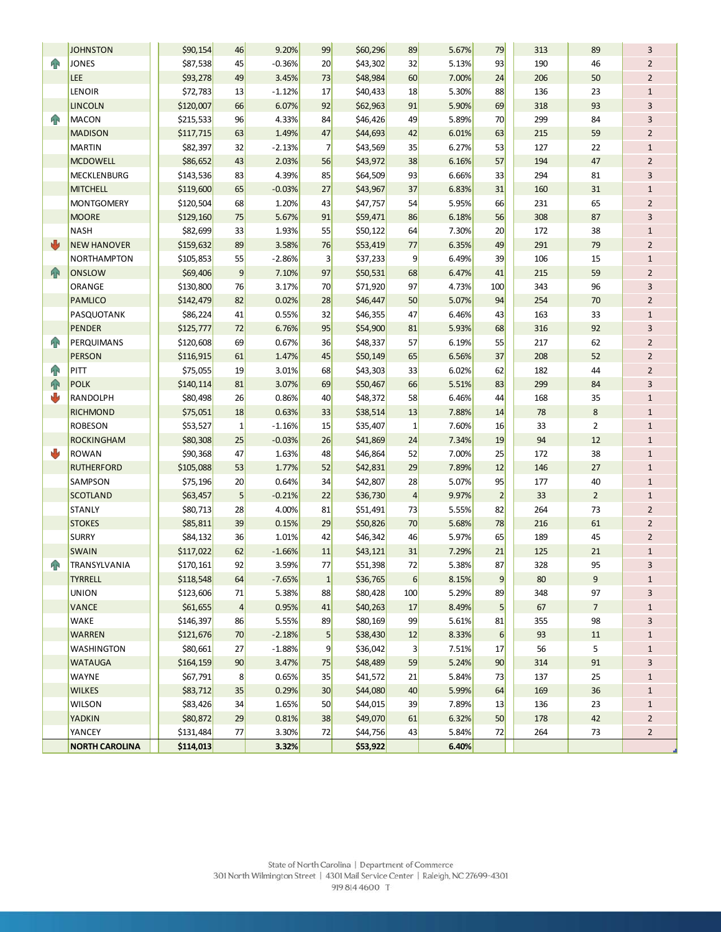|                | <b>JOHNSTON</b>       | \$90,154  | 46             | 9.20%    | 99              | \$60,296 | 89  | 5.67% | 79                      | 313 | 89             | 3              |
|----------------|-----------------------|-----------|----------------|----------|-----------------|----------|-----|-------|-------------------------|-----|----------------|----------------|
| $\mathbf{P}$   | <b>JONES</b>          | \$87,538  | 45             | $-0.36%$ | 20              | \$43,302 | 32  | 5.13% | 93                      | 190 | 46             | $\overline{2}$ |
|                | LEE                   | \$93,278  | 49             | 3.45%    | 73              | \$48,984 | 60  | 7.00% | 24                      | 206 | 50             | $\overline{2}$ |
|                | LENOIR                | \$72,783  | 13             | $-1.12%$ | 17              | \$40,433 | 18  | 5.30% | 88                      | 136 | 23             | $\mathbf{1}$   |
|                | <b>LINCOLN</b>        | \$120,007 | 66             | 6.07%    | 92              | \$62,963 | 91  | 5.90% | 69                      | 318 | 93             | 3              |
| $\mathbf{P}$   | <b>MACON</b>          | \$215,533 | 96             | 4.33%    | 84              | \$46,426 | 49  | 5.89% | 70                      | 299 | 84             | 3              |
|                | <b>MADISON</b>        | \$117,715 | 63             | 1.49%    | 47              | \$44,693 | 42  | 6.01% | 63                      | 215 | 59             | $\overline{2}$ |
|                | <b>MARTIN</b>         | \$82,397  | 32             | $-2.13%$ | $\overline{7}$  | \$43,569 | 35  | 6.27% | 53                      | 127 | 22             | $\mathbf 1$    |
|                | <b>MCDOWELL</b>       | \$86,652  | 43             | 2.03%    | 56              | \$43,972 | 38  | 6.16% | 57                      | 194 | 47             | $\overline{2}$ |
|                | <b>MECKLENBURG</b>    | \$143,536 | 83             | 4.39%    | 85              | \$64,509 | 93  | 6.66% | 33                      | 294 | 81             | 3              |
|                | <b>MITCHELL</b>       | \$119,600 | 65             | $-0.03%$ | 27              | \$43,967 | 37  | 6.83% | 31                      | 160 | 31             | $\mathbf{1}$   |
|                | <b>MONTGOMERY</b>     | \$120,504 | 68             | 1.20%    | 43              | \$47,757 | 54  | 5.95% | 66                      | 231 | 65             | $\overline{2}$ |
|                | <b>MOORE</b>          | \$129,160 | 75             | 5.67%    | 91              | \$59,471 | 86  | 6.18% | 56                      | 308 | 87             | 3              |
|                | <b>NASH</b>           | \$82,699  | 33             | 1.93%    | 55              | \$50,122 | 64  | 7.30% | 20                      | 172 | 38             | $\mathbf 1$    |
| ₩              | <b>NEW HANOVER</b>    | \$159,632 | 89             | 3.58%    | 76              | \$53,419 | 77  | 6.35% | 49                      | 291 | 79             | $\overline{2}$ |
|                | <b>NORTHAMPTON</b>    | \$105,853 | 55             | $-2.86%$ | 3               | \$37,233 | 9   | 6.49% | 39                      | 106 | 15             | $\mathbf 1$    |
| $\bigcap$      | <b>ONSLOW</b>         | \$69,406  | 9              | 7.10%    | 97              | \$50,531 | 68  | 6.47% | 41                      | 215 | 59             | $\overline{2}$ |
|                | ORANGE                | \$130,800 | 76             | 3.17%    | 70              | \$71,920 | 97  | 4.73% | 100                     | 343 | 96             | 3              |
|                | <b>PAMLICO</b>        | \$142,479 | 82             | 0.02%    | 28              | \$46,447 | 50  | 5.07% | 94                      | 254 | 70             | $\overline{2}$ |
|                | PASQUOTANK            | \$86,224  | 41             | 0.55%    | 32              | \$46,355 | 47  | 6.46% | 43                      | 163 | 33             | $\mathbf 1$    |
|                | <b>PENDER</b>         | \$125,777 | 72             | 6.76%    | 95              | \$54,900 | 81  | 5.93% | 68                      | 316 | 92             | 3              |
| $\mathbf{P}$   | <b>PERQUIMANS</b>     | \$120,608 | 69             | 0.67%    | 36              | \$48,337 | 57  | 6.19% | 55                      | 217 | 62             | $\overline{2}$ |
|                | <b>PERSON</b>         | \$116,915 | 61             | 1.47%    | 45              | \$50,149 | 65  | 6.56% | 37                      | 208 | 52             | $\overline{2}$ |
| $\mathbf{P}$   | PITT                  | \$75,055  | 19             | 3.01%    | 68              | \$43,303 | 33  | 6.02% | 62                      | 182 | 44             | $\overline{2}$ |
| 企              | <b>POLK</b>           | \$140,114 | 81             | 3.07%    | 69              | \$50,467 | 66  | 5.51% | 83                      | 299 | 84             | 3              |
| U              | RANDOLPH              | \$80,498  | 26             | 0.86%    | 40              | \$48,372 | 58  | 6.46% | 44                      | 168 | 35             | $\mathbf{1}$   |
|                | <b>RICHMOND</b>       | \$75,051  | 18             | 0.63%    | 33              | \$38,514 | 13  | 7.88% | 14                      | 78  | 8              | $\mathbf{1}$   |
|                | <b>ROBESON</b>        | \$53,527  | $\mathbf 1$    | $-1.16%$ | 15              | \$35,407 | 1   | 7.60% | 16                      | 33  | $\overline{2}$ | $\mathbf{1}$   |
|                | <b>ROCKINGHAM</b>     | \$80,308  | 25             | $-0.03%$ | 26              | \$41,869 | 24  | 7.34% | 19                      | 94  | 12             | $\mathbf 1$    |
| ψ              | <b>ROWAN</b>          | \$90,368  | 47             | 1.63%    | 48              | \$46,864 | 52  | 7.00% | 25                      | 172 | 38             | $\mathbf 1$    |
|                | <b>RUTHERFORD</b>     | \$105,088 | 53             | 1.77%    | 52              | \$42,831 | 29  | 7.89% | 12                      | 146 | 27             | $\mathbf 1$    |
|                | SAMPSON               | \$75,196  | 20             | 0.64%    | 34              | \$42,807 | 28  | 5.07% | 95                      | 177 | 40             | $\mathbf 1$    |
|                | <b>SCOTLAND</b>       | \$63,457  | 5              | $-0.21%$ | 22              | \$36,730 | 4   | 9.97% | $\overline{\mathbf{c}}$ | 33  | $\overline{2}$ | $\mathbf 1$    |
|                | <b>STANLY</b>         | \$80,713  | 28             | 4.00%    | 81              | \$51,491 | 73  | 5.55% | 82                      | 264 | 73             | $\overline{2}$ |
|                | <b>STOKES</b>         | \$85,811  | 39             | 0.15%    | 29              | \$50,826 | 70  | 5.68% | 78                      | 216 | 61             | $\overline{2}$ |
|                | <b>SURRY</b>          | \$84,132  | 36             | 1.01%    | 42              | \$46,342 | 46  | 5.97% | 65                      | 189 | 45             | $\overline{2}$ |
|                | <b>SWAIN</b>          | \$117,022 | 62             | $-1.66%$ | 11              | \$43,121 | 31  | 7.29% | 21                      | 125 | 21             | $\mathbf 1$    |
| <sub>4</sub> N | TRANSYLVANIA          | \$170,161 | 92             | 3.59%    | 77              | \$51,398 | 72  | 5.38% | 87                      | 328 | 95             | 3              |
|                | <b>TYRRELL</b>        | \$118,548 | 64             | $-7.65%$ | $1\vert$        | \$36,765 | 6   | 8.15% | $\overline{9}$          | 80  | 9              | $1\,$          |
|                | UNION                 | \$123,606 | 71             | 5.38%    | 88              | \$80,428 | 100 | 5.29% | 89                      | 348 | 97             | 3              |
|                | <b>VANCE</b>          | \$61,655  | $\overline{a}$ | 0.95%    | 41              | \$40,263 | 17  | 8.49% | $\mathsf{S}$            | 67  | $\overline{7}$ | $\mathbf 1$    |
|                | WAKE                  | \$146,397 | 86             | 5.55%    | 89              | \$80,169 | 99  | 5.61% | 81                      | 355 | 98             | 3              |
|                | WARREN                | \$121,676 | 70             | $-2.18%$ | $\vert 5 \vert$ | \$38,430 | 12  | 8.33% | $6 \mid$                | 93  | $11\,$         | $\mathbf 1$    |
|                | <b>WASHINGTON</b>     | \$80,661  | 27             | $-1.88%$ | 9               | \$36,042 | 3   | 7.51% | 17                      | 56  | 5              | $\mathbf 1$    |
|                | <b>WATAUGA</b>        | \$164,159 | 90             | 3.47%    | 75              | \$48,489 | 59  | 5.24% | 90                      | 314 | 91             | 3              |
|                | <b>WAYNE</b>          | \$67,791  | 8              | 0.65%    | 35              | \$41,572 | 21  | 5.84% | 73                      | 137 | 25             | $\mathbf 1$    |
|                | <b>WILKES</b>         | \$83,712  | 35             | 0.29%    | 30              | \$44,080 | 40  | 5.99% | 64                      | 169 | 36             | $\mathbf 1$    |
|                | <b>WILSON</b>         | \$83,426  | 34             | 1.65%    | 50              | \$44,015 | 39  | 7.89% | 13                      | 136 | 23             | $\mathbf{1}$   |
|                | <b>YADKIN</b>         | \$80,872  | 29             | 0.81%    | 38              | \$49,070 | 61  | 6.32% | 50                      | 178 | 42             | $\overline{2}$ |
|                | YANCEY                | \$131,484 | 77             | 3.30%    | 72              | \$44,756 | 43  | 5.84% | 72                      | 264 | 73             | $\overline{2}$ |
|                | <b>NORTH CAROLINA</b> | \$114,013 |                | 3.32%    |                 | \$53,922 |     | 6.40% |                         |     |                |                |